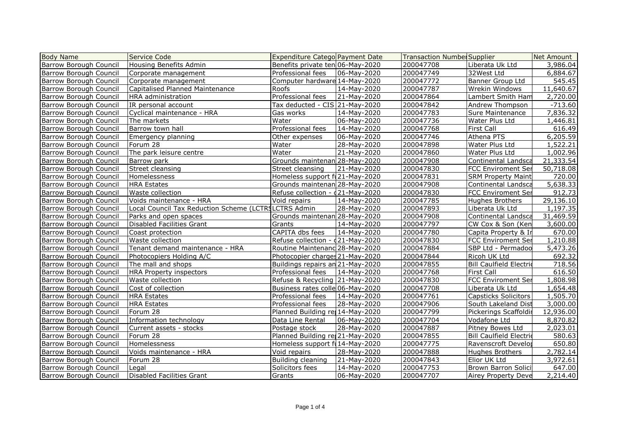| <b>Body Name</b>              | Service Code                                         | <b>Expenditure Catego Payment Date</b> |                | <b>Transaction Number Supplier</b> |                                | Net Amount |
|-------------------------------|------------------------------------------------------|----------------------------------------|----------------|------------------------------------|--------------------------------|------------|
| <b>Barrow Borough Council</b> | Housing Benefits Admin                               | Benefits private ten 06-May-2020       |                | 200047708                          | Liberata Uk Ltd                | 3,986.04   |
| <b>Barrow Borough Council</b> | Corporate management                                 | Professional fees   06-May-2020        |                | 200047749                          | 32West Ltd                     | 6,884.67   |
| Barrow Borough Council        | Corporate management                                 | Computer hardware 14-May-2020          |                | 200047772                          | Banner Group Ltd               | 545.45     |
| Barrow Borough Council        | Capitalised Planned Maintenance                      | Roofs                                  | 14-May-2020    | 200047787                          | Wrekin Windows                 | 11,640.67  |
| <b>Barrow Borough Council</b> | <b>HRA</b> administration                            | Professional fees                      | 21-May-2020    | 200047864                          | Lambert Smith Ham              | 2,720.00   |
| <b>Barrow Borough Council</b> | IR personal account                                  | Tax deducted - CIS 21-May-2020         |                | 200047842                          | Andrew Thompson                | $-713.60$  |
| <b>Barrow Borough Council</b> | Cyclical maintenance - HRA                           | Gas works                              | 14-May-2020    | 200047783                          | Sure Maintenance               | 7,836.32   |
| <b>Barrow Borough Council</b> | The markets                                          | Water                                  | 06-May-2020    | 200047736                          | Water Plus Ltd                 | 1,446.81   |
| Barrow Borough Council        | Barrow town hall                                     | Professional fees                      | 14-May-2020    | 200047768                          | <b>First Call</b>              | 616.49     |
| Barrow Borough Council        | Emergency planning                                   | Other expenses                         | 06-May-2020    | 200047746                          | Athena PTS                     | 6,205.59   |
| <b>Barrow Borough Council</b> | Forum 28                                             | Water                                  | 28-May-2020    | 200047898                          | Water Plus Ltd                 | 1,522.21   |
| <b>Barrow Borough Council</b> | The park leisure centre                              | Water                                  | 21-May-2020    | 200047860                          | Water Plus Ltd                 | 1,002.96   |
| Barrow Borough Council        | Barrow park                                          | Grounds maintenan 28-May-2020          |                | 200047908                          | Continental Landsca            | 21,333.54  |
| Barrow Borough Council        | Street cleansing                                     | Street cleansing                       | 21-May-2020    | 200047830                          | FCC Enviroment Ser             | 50,718.08  |
| Barrow Borough Council        | <b>Homelessness</b>                                  | Homeless support fu21-May-2020         |                | 200047831                          | <b>SRM Property Maint</b>      | 720.00     |
| <b>Barrow Borough Council</b> | <b>HRA Estates</b>                                   | Grounds maintenan 28-May-2020          |                | 200047908                          | Continental Landsca            | 5,638.33   |
| <b>Barrow Borough Council</b> | Waste collection                                     | Refuse collection - 421-May-2020       |                | 200047830                          | <b>FCC Enviroment Ser</b>      | 912.73     |
| Barrow Borough Council        | Voids maintenance - HRA                              | Void repairs                           | 14-May-2020    | 200047785                          | Hughes Brothers                | 29,136.10  |
| Barrow Borough Council        | Local Council Tax Reduction Scheme (LCTRSLCTRS Admin |                                        | 28-May-2020    | 200047893                          | Liberata Uk Ltd                | 1,197.35   |
| Barrow Borough Council        | Parks and open spaces                                | Grounds maintenan 28-May-2020          |                | 200047908                          | Continental Landsca            | 31,469.59  |
| <b>Barrow Borough Council</b> | Disabled Facilities Grant                            | Grants                                 | 14-May-2020    | 200047797                          | CW Cox & Son (Ken              | 3,600.00   |
| <b>Barrow Borough Council</b> | Coast protection                                     | CAPITA dbs fees                        | 14-May-2020    | 200047780                          | Capita Property & In           | 670.00     |
| <b>Barrow Borough Council</b> | Waste collection                                     | Refuse collection - 021-May-2020       |                | 200047830                          | <b>FCC Enviroment Ser</b>      | 1,210.88   |
| <b>Barrow Borough Council</b> | Tenant demand maintenance - HRA                      | Routine Maintenanc 28-May-2020         |                | 200047884                          | SBP Ltd - Permadoo             | 5,473.26   |
| Barrow Borough Council        | Photocopiers Holding A/C                             | Photocopier charges 21-May-2020        |                | 200047844                          | Ricoh UK Ltd                   | 692.32     |
| <b>Barrow Borough Council</b> | The mall and shops                                   | Buildings repairs an 21-May-2020       |                | 200047855                          | <b>Bill Caulfield Electric</b> | 718.56     |
| <b>Barrow Borough Council</b> | HRA Property inspectors                              | Professional fees                      | 14-May-2020    | 200047768                          | First Call                     | 616.50     |
| <b>Barrow Borough Council</b> | Waste collection                                     | Refuse & Recycling 21-May-2020         |                | 200047830                          | <b>FCC Enviroment Ser</b>      | 1,808.98   |
| <b>Barrow Borough Council</b> | Cost of collection                                   | Business rates colle 06-May-2020       |                | 200047708                          | Liberata Uk Ltd                | 1,654.48   |
| Barrow Borough Council        | <b>HRA Estates</b>                                   | Professional fees   14-May-2020        |                | 200047761                          | Capsticks Solicitors           | 1,505.70   |
| Barrow Borough Council        | <b>HRA Estates</b>                                   | Professional fees                      | 28-May-2020    | 200047906                          | South Lakeland Dist            | 3,000.00   |
| <b>Barrow Borough Council</b> | Forum 28                                             | Planned Building rei 14-May-2020       |                | 200047799                          | Pickerings Scaffoldir          | 12,936.00  |
| <b>Barrow Borough Council</b> | Information technology                               | Data Line Rental                       | $ 06-May-2020$ | 200047704                          | Vodafone Ltd                   | 8,870.82   |
| <b>Barrow Borough Council</b> | Current assets - stocks                              | Postage stock                          | 28-May-2020    | 200047887                          | Pitney Bowes Ltd               | 2,023.01   |
| <b>Barrow Borough Council</b> | Forum 28                                             | Planned Building re 21-May-2020        |                | 200047855                          | <b>Bill Caulfield Electrid</b> | 580.63     |
| Barrow Borough Council        | <b>Homelessness</b>                                  | Homeless support ful4-May-2020         |                | 200047775                          | Ravenscroft Develor            | 650.80     |
| Barrow Borough Council        | Voids maintenance - HRA                              | Void repairs                           | 28-May-2020    | 200047888                          | Hughes Brothers                | 2,782.14   |
| <b>Barrow Borough Council</b> | Forum 28                                             | Building cleaning                      | 21-May-2020    | 200047843                          | Elior UK Ltd                   | 3,972.61   |
| <b>Barrow Borough Council</b> | Legal                                                | Solicitors fees                        | 14-May-2020    | 200047753                          | Brown Barron Solici            | 647.00     |
| <b>Barrow Borough Council</b> | Disabled Facilities Grant                            | Grants                                 | 06-May-2020    | 200047707                          | Airey Property Deve            | 2,214.40   |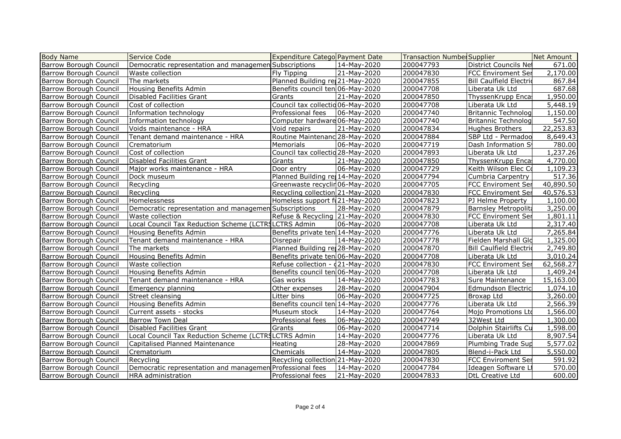| <b>Body Name</b>              | Service Code                                              | Expenditure Catego Payment Date   |             | <b>Transaction Number Supplier</b> |                                | Net Amount |
|-------------------------------|-----------------------------------------------------------|-----------------------------------|-------------|------------------------------------|--------------------------------|------------|
| Barrow Borough Council        | Democratic representation and managemen Subscriptions     |                                   | 14-May-2020 | 200047793                          | <b>District Councils Net</b>   | 671.00     |
| Barrow Borough Council        | Waste collection                                          | Fly Tipping                       | 21-May-2020 | 200047830                          | <b>FCC Enviroment Ser</b>      | 2,170.00   |
| Barrow Borough Council        | The markets                                               | Planned Building re 21-May-2020   |             | 200047855                          | <b>Bill Caulfield Electrid</b> | 867.84     |
| Barrow Borough Council        | Housing Benefits Admin                                    | Benefits council ten 06-May-2020  |             | 200047708                          | Liberata Uk Ltd                | 687.68     |
| Barrow Borough Council        | Disabled Facilities Grant                                 | Grants                            | 21-May-2020 | 200047850                          | ThyssenKrupp Enca              | 1,950.00   |
| Barrow Borough Council        | Cost of collection                                        | Council tax collectio 06-May-2020 |             | 200047708                          | Liberata Uk Ltd                | 5,448.19   |
| Barrow Borough Council        | Information technology                                    | Professional fees                 | 06-May-2020 | 200047740                          | <b>Britannic Technolog</b>     | 1,150.00   |
| Barrow Borough Council        | Information technology                                    | Computer hardware 06-May-2020     |             | 200047740                          | <b>Britannic Technolog</b>     | 547.50     |
| Barrow Borough Council        | Voids maintenance - HRA                                   | Void repairs                      | 21-May-2020 | 200047834                          | Hughes Brothers                | 22,253.83  |
| Barrow Borough Council        | Tenant demand maintenance - HRA                           | Routine Maintenanc 28-May-2020    |             | 200047884                          | SBP Ltd - Permadoo             | 8,649.43   |
| Barrow Borough Council        | Crematorium                                               | Memorials                         | 06-May-2020 | 200047719                          | Dash Information S             | 780.00     |
| Barrow Borough Council        | Cost of collection                                        | Council tax collectio 28-May-2020 |             | 200047893                          | Liberata Uk Ltd                | 1,237.26   |
| Barrow Borough Council        | Disabled Facilities Grant                                 | Grants                            | 21-May-2020 | 200047850                          | ThyssenKrupp Encas             | 4,770.00   |
| Barrow Borough Council        | Major works maintenance - HRA                             | Door entry                        | 06-May-2020 | 200047729                          | Keith Wilson Elec Co           | 1,109.23   |
| Barrow Borough Council        | Dock museum                                               | Planned Building rej 14-May-2020  |             | 200047794                          | Cumbria Carpentry              | 517.36     |
| Barrow Borough Council        | Recycling                                                 | Greenwaste recyclin 06-May-2020   |             | 200047705                          | <b>FCC Enviroment Ser</b>      | 40,890.50  |
| Barrow Borough Council        | Recycling                                                 | Recycling collection 21-May-2020  |             | 200047830                          | <b>FCC Enviroment Ser</b>      | 40,576.53  |
| Barrow Borough Council        | Homelessness                                              | Homeless support fu21-May-2020    |             | 200047823                          | PJ Helme Property              | 1,100.00   |
| Barrow Borough Council        | Democratic representation and managemen Subscriptions     |                                   | 28-May-2020 | 200047879                          | <b>Barnsley Metropolita</b>    | 3,250.00   |
| Barrow Borough Council        | Waste collection                                          | Refuse & Recycling 21-May-2020    |             | 200047830                          | <b>FCC Enviroment Ser</b>      | 1,801.11   |
| Barrow Borough Council        | Local Council Tax Reduction Scheme (LCTRSLCTRS Admin      |                                   | 06-May-2020 | 200047708                          | Liberata Uk Ltd                | 2,317.40   |
| <b>Barrow Borough Council</b> | Housing Benefits Admin                                    | Benefits private ten 14-May-2020  |             | 200047776                          | Liberata Uk Ltd                | 7,265.84   |
| Barrow Borough Council        | Tenant demand maintenance - HRA                           | Disrepair                         | 14-May-2020 | 200047778                          | Fielden Marshall Gld           | 1,325.00   |
| Barrow Borough Council        | lThe markets                                              | Planned Building rej 28-May-2020  |             | 200047870                          | <b>Bill Caulfield Electrid</b> | 2,749.80   |
| Barrow Borough Council        | Housing Benefits Admin                                    | Benefits private ten 06-May-2020  |             | 200047708                          | Liberata Uk Ltd                | 3,010.24   |
| Barrow Borough Council        | <b>Waste collection</b>                                   | Refuse collection - 421-May-2020  |             | 200047830                          | <b>FCC Enviroment Ser</b>      | 62,568.27  |
| Barrow Borough Council        | Housing Benefits Admin                                    | Benefits council ten 06-May-2020  |             | 200047708                          | Liberata Uk Ltd                | 1,409.24   |
| Barrow Borough Council        | Tenant demand maintenance - HRA                           | Gas works                         | 14-May-2020 | 200047783                          | Sure Maintenance               | 15,163.00  |
| Barrow Borough Council        | Emergency planning                                        | Other expenses                    | 28-May-2020 | 200047904                          | Edmundson Electric             | 1,074.10   |
| Barrow Borough Council        | Street cleansing                                          | Litter bins                       | 06-May-2020 | 200047725                          | Broxap Ltd                     | 3,260.00   |
| Barrow Borough Council        | Housing Benefits Admin                                    | Benefits council ten 14-May-2020  |             | 200047776                          | Liberata Uk Ltd                | 2,566.39   |
| Barrow Borough Council        | Current assets - stocks                                   | Museum stock                      | 14-May-2020 | 200047764                          | Mojo Promotions Ltd            | 1,566.00   |
| Barrow Borough Council        | <b>Barrow Town Deal</b>                                   | Professional fees                 | 06-May-2020 | 200047749                          | 32West Ltd                     | 1,300.00   |
| Barrow Borough Council        | Disabled Facilities Grant                                 | Grants                            | 06-May-2020 | 200047714                          | Dolphin Stairlifts Cu          | 1,598.00   |
| Barrow Borough Council        | Local Council Tax Reduction Scheme (LCTRSLCTRS Admin      |                                   | 14-May-2020 | 200047776                          | Liberata Uk Ltd                | 8,907.54   |
| Barrow Borough Council        | Capitalised Planned Maintenance                           | Heating                           | 28-May-2020 | 200047869                          | Plumbing Trade Sup             | 5,577.02   |
| Barrow Borough Council        | Crematorium                                               | <b>Chemicals</b>                  | 14-May-2020 | 200047805                          | Blend-i-Pack Ltd               | 5,550.00   |
| Barrow Borough Council        | Recycling                                                 | Recycling collection 21-May-2020  |             | 200047830                          | <b>FCC Enviroment Ser</b>      | 591.92     |
| Barrow Borough Council        | Democratic representation and managemen Professional fees |                                   | 14-May-2020 | 200047784                          | Ideagen Software Lt            | 570.00     |
| <b>Barrow Borough Council</b> | HRA administration                                        | Professional fees                 | 21-May-2020 | 200047833                          | DtL Creative Ltd               | 600.00     |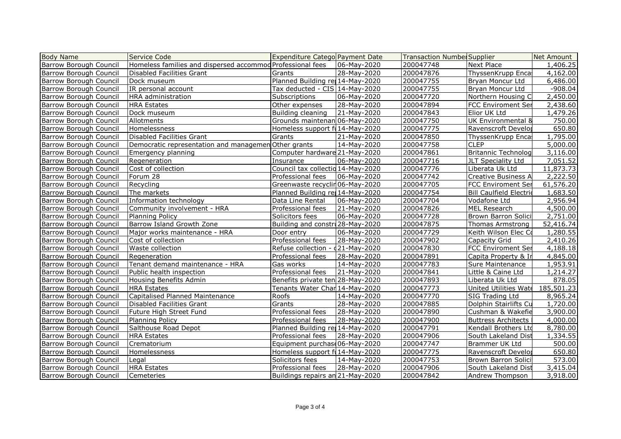| <b>Body Name</b>              | Service Code                                               | <b>Expenditure Categol Payment Date</b>      |             | <b>Transaction Number Supplier</b> |                                | Net Amount |
|-------------------------------|------------------------------------------------------------|----------------------------------------------|-------------|------------------------------------|--------------------------------|------------|
| <b>Barrow Borough Council</b> | Homeless families and dispersed accommod Professional fees |                                              | 06-May-2020 | 200047748                          | Next Place                     | 1,406.25   |
| <b>Barrow Borough Council</b> | Disabled Facilities Grant                                  | Grants                                       | 28-May-2020 | 200047876                          | ThyssenKrupp Encal             | 4,162.00   |
| <b>Barrow Borough Council</b> | Dock museum                                                | Planned Building rej 14-May-2020             |             | 200047755                          | Bryan Moncur Ltd               | 6,486.00   |
| Barrow Borough Council        | IR personal account                                        | Tax deducted - CIS $14$ -May-2020            |             | 200047755                          | Bryan Moncur Ltd               | $-908.04$  |
| <b>Barrow Borough Council</b> | HRA administration                                         | Subscriptions                                | 06-May-2020 | 200047720                          | Northern Housing C             | 2,450.00   |
| <b>Barrow Borough Council</b> | <b>HRA</b> Estates                                         | Other expenses                               | 28-May-2020 | 200047894                          | <b>FCC Enviroment Ser</b>      | 2,438.60   |
| <b>Barrow Borough Council</b> | Dock museum                                                | Building cleaning                            | 21-May-2020 | 200047843                          | Elior UK Ltd                   | 1,479.26   |
| <b>Barrow Borough Council</b> | Allotments                                                 | Grounds maintenan 06-May-2020                |             | 200047750                          | UK Environmental 8             | 750.00     |
| Barrow Borough Council        | Homelessness                                               | Homeless support ful 14-May-2020             |             | 200047775                          | Ravenscroft Develor            | 650.80     |
| Barrow Borough Council        | Disabled Facilities Grant                                  | Grants                                       | 21-May-2020 | 200047850                          | ThyssenKrupp Enca              | 1,795.00   |
| <b>Barrow Borough Council</b> | Democratic representation and managemen Other grants       |                                              | 14-May-2020 | 200047758                          | <b>CLEP</b>                    | 5,000.00   |
| <b>Barrow Borough Council</b> | Emergency planning                                         | Computer hardware 21-May-2020                |             | 200047861                          | <b>Britannic Technolog</b>     | 3,116.00   |
| <b>Barrow Borough Council</b> | Regeneration                                               | Insurance                                    | 06-May-2020 | 200047716                          | JLT Speciality Ltd             | 7,051.52   |
| Barrow Borough Council        | Cost of collection                                         | Council tax collectid 14-May-2020            |             | 200047776                          | Liberata Uk Ltd                | 11,873.73  |
| Barrow Borough Council        | Forum 28                                                   | Professional fees                            | 06-May-2020 | 200047742                          | <b>Creative Business A</b>     | 2,222.50   |
| <b>Barrow Borough Council</b> | Recycling                                                  | Greenwaste recyclir <sup>1</sup> 06-May-2020 |             | 200047705                          | <b>FCC Enviroment Ser</b>      | 61,576.20  |
| <b>Barrow Borough Council</b> | The markets                                                | Planned Building rej 14-May-2020             |             | 200047754                          | <b>Bill Caulfield Electric</b> | 1,683.50   |
| <b>Barrow Borough Council</b> | Information technology                                     | Data Line Rental                             | 06-May-2020 | 200047704                          | Vodafone Ltd                   | 2,956.94   |
| <b>Barrow Borough Council</b> | Community involvement - HRA                                | Professional fees                            | 21-May-2020 | 200047826                          | MEL Research                   | 4,500.00   |
| Barrow Borough Council        | <b>Planning Policy</b>                                     | Solicitors fees                              | 06-May-2020 | 200047728                          | Brown Barron Solici            | 2,751.00   |
| <b>Barrow Borough Council</b> | Barrow Island Growth Zone                                  | Building and constru28-May-2020              |             | 200047875                          | Thomas Armstrong               | 52,416.74  |
| Barrow Borough Council        | Major works maintenance - HRA                              | Door entry                                   | 06-May-2020 | 200047729                          | Keith Wilson Elec Co           | 1,280.55   |
| <b>Barrow Borough Council</b> | Cost of collection                                         | Professional fees                            | 28-May-2020 | 200047902                          | Capacity Grid                  | 2,410.26   |
| <b>Barrow Borough Council</b> | Waste collection                                           | Refuse collection - 021-May-2020             |             | 200047830                          | <b>FCC Enviroment Ser</b>      | 4,188.18   |
| Barrow Borough Council        | Regeneration                                               | Professional fees                            | 28-May-2020 | 200047891                          | Capita Property & In           | 4,845.00   |
| Barrow Borough Council        | Tenant demand maintenance - HRA                            | Gas works                                    | 14-May-2020 | 200047783                          | Sure Maintenance               | 1,953.91   |
| <b>Barrow Borough Council</b> | Public health inspection                                   | Professional fees                            | 21-May-2020 | 200047841                          | Little & Caine Ltd             | 1,214.27   |
| <b>Barrow Borough Council</b> | Housing Benefits Admin                                     | Benefits private ten 28-May-2020             |             | 200047893                          | Liberata Uk Ltd                | 878.05     |
| <b>Barrow Borough Council</b> | <b>HRA</b> Estates                                         | Tenants Water Char 14-May-2020               |             | 200047773                          | United Utilities Wate          | 185,501.23 |
| Barrow Borough Council        | Capitalised Planned Maintenance                            | Roofs                                        | 14-May-2020 | 200047770                          | SIG Trading Ltd                | 8,965.24   |
| Barrow Borough Council        | Disabled Facilities Grant                                  | Grants                                       | 28-May-2020 | 200047885                          | Dolphin Stairlifts Cu          | 1,720.00   |
| <b>Barrow Borough Council</b> | Future High Street Fund                                    | Professional fees                            | 28-May-2020 | 200047890                          | Cushman & Wakefie              | 3,900.00   |
| <b>Barrow Borough Council</b> | Planning Policy                                            | Professional fees                            | 28-May-2020 | 200047900                          | Buttress Architects            | 4,000.00   |
| <b>Barrow Borough Council</b> | Salthouse Road Depot                                       | Planned Building rei 14-May-2020             |             | 200047791                          | Kendall Brothers Ltd           | 8,780.00   |
| Barrow Borough Council        | <b>HRA</b> Estates                                         | Professional fees                            | 28-May-2020 | 200047906                          | South Lakeland Dist            | 1,334.55   |
| Barrow Borough Council        | Crematorium                                                | Equipment purchase06-May-2020                |             | 200047747                          | <b>Brammer UK Ltd</b>          | 500.00     |
| Barrow Borough Council        | Homelessness                                               | Homeless support ful4-May-2020               |             | 200047775                          | Ravenscroft Develor            | 650.80     |
| <b>Barrow Borough Council</b> | Legal                                                      | Solicitors fees                              | 14-May-2020 | 200047753                          | Brown Barron Solici            | 573.00     |
| <b>Barrow Borough Council</b> | <b>HRA</b> Estates                                         | Professional fees                            | 28-May-2020 | 200047906                          | South Lakeland Dist            | 3,415.04   |
| <b>Barrow Borough Council</b> | Cemeteries                                                 | Buildings repairs an 21-May-2020             |             | 200047842                          | Andrew Thompson                | 3,918.00   |